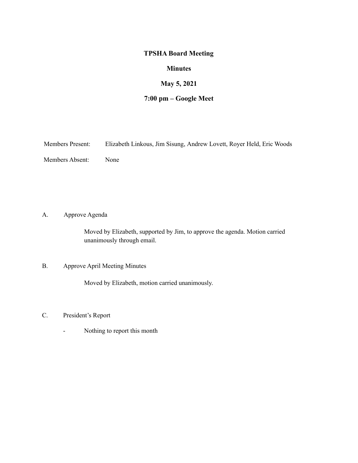### **TPSHA Board Meeting**

## **Minutes**

# **May 5, 2021**

# **7:00 pm – Google Meet**

| <b>Members Present:</b> |  |  |  | Elizabeth Linkous, Jim Sisung, Andrew Lovett, Royer Held, Eric Woods |
|-------------------------|--|--|--|----------------------------------------------------------------------|
|-------------------------|--|--|--|----------------------------------------------------------------------|

Members Absent: None

A. Approve Agenda

Moved by Elizabeth, supported by Jim, to approve the agenda. Motion carried unanimously through email.

## B. Approve April Meeting Minutes

Moved by Elizabeth, motion carried unanimously.

- C. President's Report
	- Nothing to report this month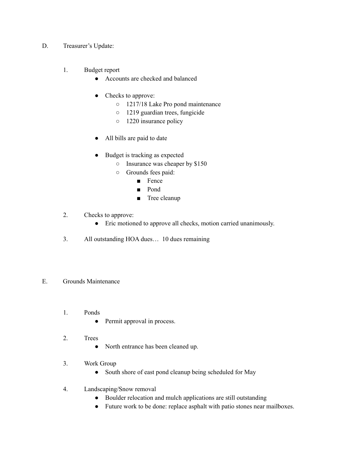- D. Treasurer's Update:
	- 1. Budget report
		- Accounts are checked and balanced
		- Checks to approve:
			- 1217/18 Lake Pro pond maintenance
			- 1219 guardian trees, fungicide
			- 1220 insurance policy
		- All bills are paid to date
		- Budget is tracking as expected
			- Insurance was cheaper by \$150
			- Grounds fees paid:
				- Fence
				- Pond
				- Tree cleanup
	- 2. Checks to approve:
		- Eric motioned to approve all checks, motion carried unanimously.
	- 3. All outstanding HOA dues… 10 dues remaining
- E. Grounds Maintenance
	- 1. Ponds
		- Permit approval in process.
	- 2. Trees
		- North entrance has been cleaned up.
	- 3. Work Group
		- South shore of east pond cleanup being scheduled for May
	- 4. Landscaping/Snow removal
		- Boulder relocation and mulch applications are still outstanding
		- Future work to be done: replace asphalt with patio stones near mailboxes.